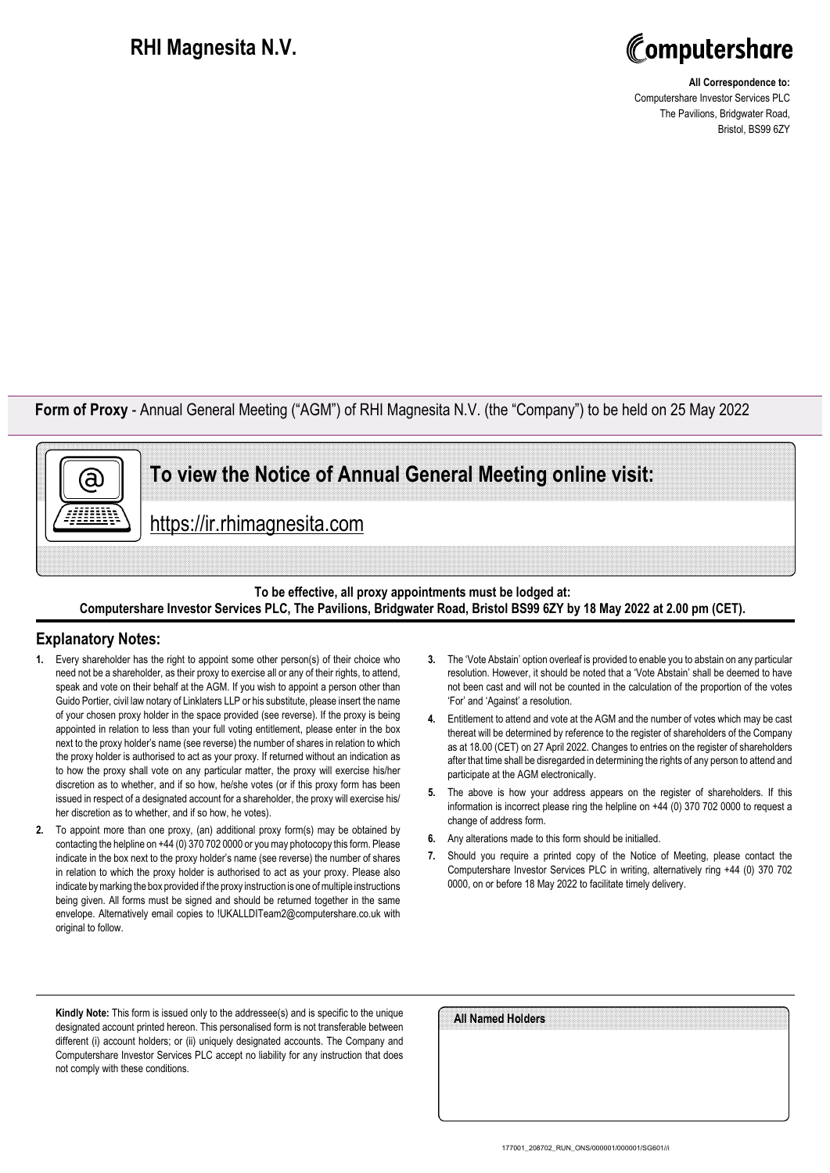## **RHI Magnesita N.V.**



**All Correspondence to:** Computershare Investor Services PLC The Pavilions, Bridgwater Road, Bristol, BS99 6ZY

**Form of Proxy** - Annual General Meeting ("AGM") of RHI Magnesita N.V. (the "Company") to be held on 25 May 2022



https://ir.rhimagnesita.com

## **To be effective, all proxy appointments must be lodged at: Computershare Investor Services PLC, The Pavilions, Bridgwater Road, Bristol BS99 6ZY by 18 May 2022 at 2.00 pm (CET).**

## **Explanatory Notes:**

ā)

- **1.** Every shareholder has the right to appoint some other person(s) of their choice who need not be a shareholder, as their proxy to exercise all or any of their rights, to attend, speak and vote on their behalf at the AGM. If you wish to appoint a person other than Guido Portier, civil law notary of Linklaters LLP or his substitute, please insert the name of your chosen proxy holder in the space provided (see reverse). If the proxy is being appointed in relation to less than your full voting entitlement, please enter in the box next to the proxy holder's name (see reverse) the number of shares in relation to which the proxy holder is authorised to act as your proxy. If returned without an indication as to how the proxy shall vote on any particular matter, the proxy will exercise his/her discretion as to whether, and if so how, he/she votes (or if this proxy form has been issued in respect of a designated account for a shareholder, the proxy will exercise his/ her discretion as to whether, and if so how, he votes).
- **2.** To appoint more than one proxy, (an) additional proxy form(s) may be obtained by contacting the helpline on +44 (0) 370 702 0000 or you may photocopy this form. Please indicate in the box next to the proxy holder's name (see reverse) the number of shares in relation to which the proxy holder is authorised to act as your proxy. Please also indicate by marking the box provided if the proxy instruction is one of multiple instructions being given. All forms must be signed and should be returned together in the same envelope. Alternatively email copies to !UKALLDITeam2@computershare.co.uk with original to follow.
- **3.** The 'Vote Abstain' option overleaf is provided to enable you to abstain on any particular resolution. However, it should be noted that a 'Vote Abstain' shall be deemed to have not been cast and will not be counted in the calculation of the proportion of the votes 'For' and 'Against' a resolution.
- **4.** Entitlement to attend and vote at the AGM and the number of votes which may be cast thereat will be determined by reference to the register of shareholders of the Company as at 18.00 (CET) on 27 April 2022. Changes to entries on the register of shareholders after that time shall be disregarded in determining the rights of any person to attend and participate at the AGM electronically.
- **5.** The above is how your address appears on the register of shareholders. If this information is incorrect please ring the helpline on +44 (0) 370 702 0000 to request a change of address form.
- **6.** Any alterations made to this form should be initialled.
- **7.** Should you require a printed copy of the Notice of Meeting, please contact the Computershare Investor Services PLC in writing, alternatively ring +44 (0) 370 702 0000, on or before 18 May 2022 to facilitate timely delivery.

**Kindly Note:** This form is issued only to the addressee(s) and is specific to the unique designated account printed hereon. This personalised form is not transferable between different (i) account holders; or (ii) uniquely designated accounts. The Company and Computershare Investor Services PLC accept no liability for any instruction that does not comply with these conditions.

| All Named Holders |  |
|-------------------|--|
|                   |  |
|                   |  |
|                   |  |
|                   |  |
|                   |  |
|                   |  |